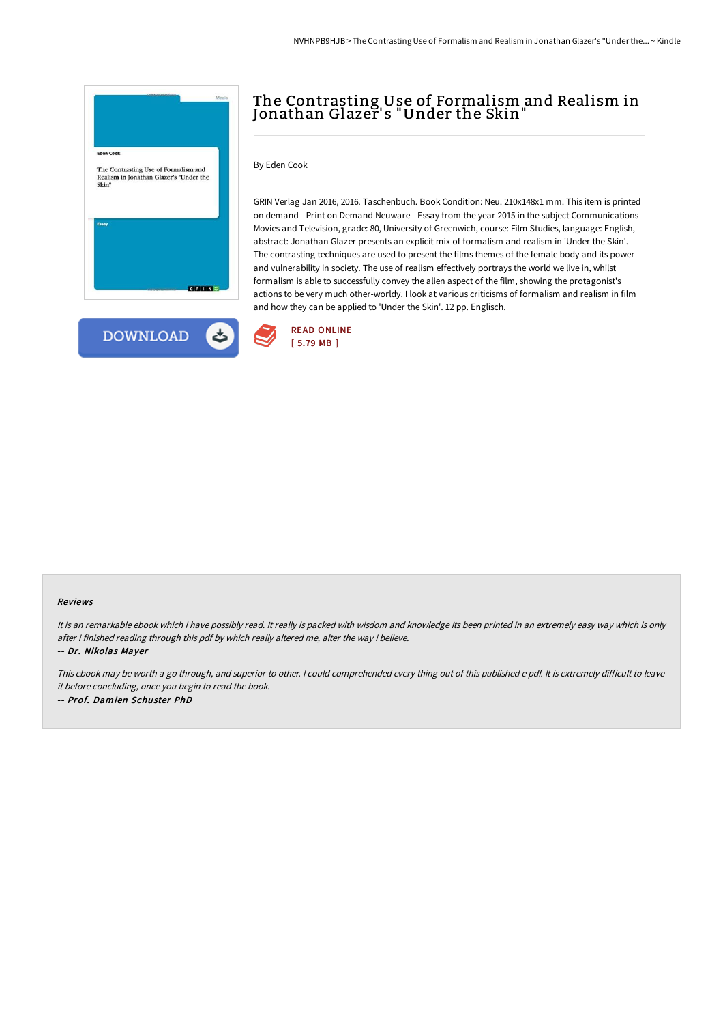

**DOWNLOAD** 

## The Contrasting Use of Formalism and Realism in Jonathan Glazer' s "Under the Skin"

By Eden Cook

GRIN Verlag Jan 2016, 2016. Taschenbuch. Book Condition: Neu. 210x148x1 mm. This item is printed on demand - Print on Demand Neuware - Essay from the year 2015 in the subject Communications - Movies and Television, grade: 80, University of Greenwich, course: Film Studies, language: English, abstract: Jonathan Glazer presents an explicit mix of formalism and realism in 'Under the Skin'. The contrasting techniques are used to present the films themes of the female body and its power and vulnerability in society. The use of realism effectively portrays the world we live in, whilst formalism is able to successfully convey the alien aspect of the film, showing the protagonist's actions to be very much other-worldy. I look at various criticisms of formalism and realism in film and how they can be applied to 'Under the Skin'. 12 pp. Englisch.



ٹ

## Reviews

It is an remarkable ebook which i have possibly read. It really is packed with wisdom and knowledge Its been printed in an extremely easy way which is only after i finished reading through this pdf by which really altered me, alter the way i believe.

-- Dr. Nikolas Mayer

This ebook may be worth a go through, and superior to other. I could comprehended every thing out of this published e pdf. It is extremely difficult to leave it before concluding, once you begin to read the book. -- Prof. Damien Schuster PhD